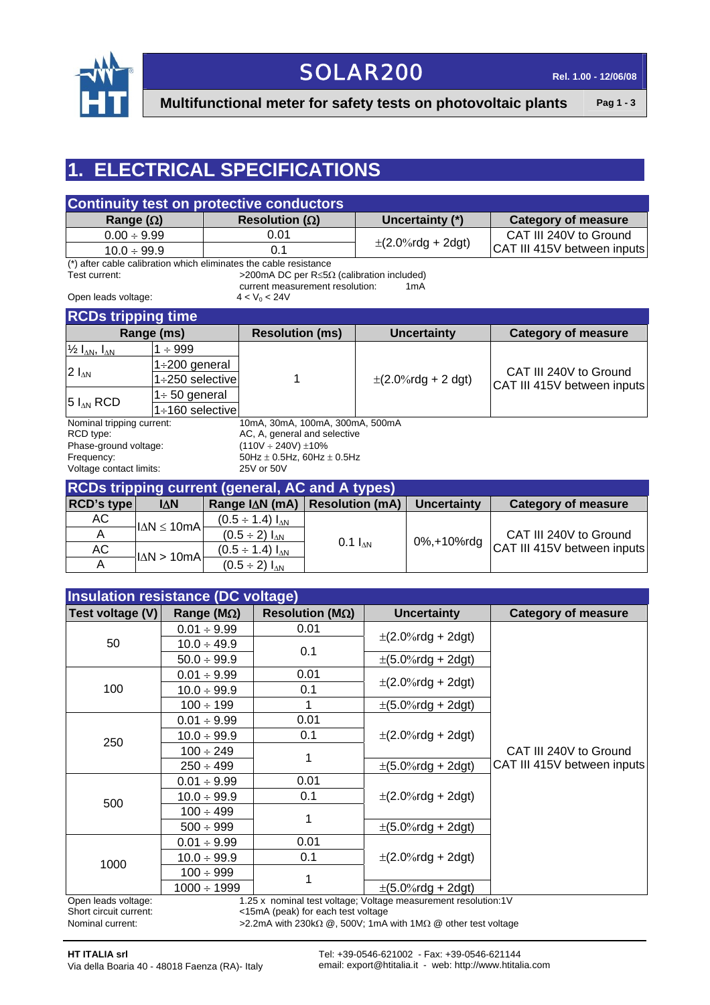

### SOLAR200 **Rel. 1.00 - 12/06/08**

**Multifunctional meter for safety tests on photovoltaic plants** Pag 1 - 3

#### **1. ELECTRICAL SPECIFICATIONS**

| <b>Continuity test on protective conductors</b> |                         |                        |                             |
|-------------------------------------------------|-------------------------|------------------------|-----------------------------|
| Range $(\Omega)$                                | Resolution ( $\Omega$ ) | Uncertainty (*)        | <b>Category of measure</b>  |
| $0.00 \div 9.99$                                | 0.01                    |                        | CAT III 240V to Ground      |
| $10.0 \div 99.9$                                |                         | $\pm$ (2.0%rdg + 2dgt) | CAT III 415V between inputs |

(\*) after cable calibration which eliminates the cable resistance<br>Test current:  $>$ 200mA DC per R  $\le$ 50 >200mA DC per R≤5Ω (calibration included)

current measurement resolution: 1mA

Open leads voltage:  $4 < V_0 < 24V$ 

| <b>RCDs tripping time</b>                   |                        |                                 |                         |                                                       |
|---------------------------------------------|------------------------|---------------------------------|-------------------------|-------------------------------------------------------|
| Range (ms)                                  |                        | <b>Resolution (ms)</b>          | <b>Uncertainty</b>      | <b>Category of measure</b>                            |
| $\frac{1}{2} I_{\Delta N}$ , $I_{\Delta N}$ | $\div$ 999             |                                 |                         |                                                       |
| $2 I_{AN}$<br>$5 I_{AN}$ RCD                | 1÷200 general          |                                 | $\pm$ (2.0%rdg + 2 dgt) | CAT III 240V to Ground<br>CAT III 415V between inputs |
|                                             | $1\div 250$ selective  |                                 |                         |                                                       |
|                                             | $1 \div 50$ general    |                                 |                         |                                                       |
|                                             | $1 \div 160$ selective |                                 |                         |                                                       |
| Nominal tripping current:                   |                        | 10mA, 30mA, 100mA, 300mA, 500mA |                         |                                                       |

Phase-ground voltage: (110V ÷ 240V) ±10% Frequency:  $50\text{Hz} \pm 0.5\text{Hz}$ , 60Hz  $\pm 0.5\text{Hz}$ Voltage contact limits: 25V or 50V

RCD type:  $AC$ , A, general and selective

| <b>RCDs tripping current (general, AC and A types)</b> |                        |                               |                        |                    |                             |
|--------------------------------------------------------|------------------------|-------------------------------|------------------------|--------------------|-----------------------------|
| RCD's type                                             | <b>IAN</b>             | Range IAN (mA)                | <b>Resolution (mA)</b> | <b>Uncertainty</b> | <b>Category of measure</b>  |
| AC                                                     | $ \Delta N \leq 10$ mA | $(0.5 \div 1.4) I_{\Delta N}$ |                        |                    |                             |
|                                                        |                        | $(0.5 \div 2) I_{AN}$         |                        | 0%,+10%rdg         | CAT III 240V to Ground      |
| AC                                                     | $ \Delta N>10$ mA      | $(0.5 \div 1.4) I_{\Delta N}$ | $0.1 I_{AN}$           |                    | CAT III 415V between inputs |
|                                                        |                        | $(0.5 \div 2) I_{\text{AN}}$  |                        |                    |                             |

| <b>Insulation resistance (DC voltage)</b> |                        |                                 |                                                                 |                             |
|-------------------------------------------|------------------------|---------------------------------|-----------------------------------------------------------------|-----------------------------|
| Test voltage (V)                          | Range ( $M\Omega$ )    | Resolution ( $M\Omega$ )        | <b>Uncertainty</b>                                              | <b>Category of measure</b>  |
|                                           | $0.01 \div 9.99$       | 0.01                            |                                                                 |                             |
| 50                                        | $10.0 \div 49.9$       | 0.1                             | $\pm$ (2.0%rdg + 2dgt)                                          |                             |
|                                           | $50.0 \div 99.9$       |                                 | $\pm$ (5.0%rdg + 2dgt)                                          |                             |
|                                           | $0.01 \div 9.99$       | 0.01                            |                                                                 |                             |
| 100                                       | $10.0 \div 99.9$       | 0.1                             | $\pm (2.0\% \text{rdg} + 2 \text{dgt})$                         |                             |
|                                           | $100 \div 199$         |                                 | $\pm (5.0\%$ rdg + 2dgt)                                        |                             |
|                                           | $0.01 \div 9.99$       | 0.01                            |                                                                 |                             |
|                                           | $10.0 \div 99.9$       | 0.1<br>$\pm (2.0\%$ rdg + 2dgt) |                                                                 |                             |
| 250                                       | $100 \div 249$         | 1                               |                                                                 | CAT III 240V to Ground      |
|                                           | $250 \div 499$         |                                 | $\pm (5.0\%$ rdg + 2dgt)                                        | CAT III 415V between inputs |
|                                           | $0.01 \div 9.99$       | 0.01                            |                                                                 |                             |
| 500                                       | $10.0 \div 99.9$       | 0.1                             | $\pm$ (2.0%rdg + 2dgt)                                          |                             |
|                                           | $100 \div 499$         |                                 |                                                                 |                             |
|                                           | $500 \div 999$         |                                 | $\pm (5.0\%$ rdg + 2dgt)                                        |                             |
|                                           | $0.01 \div 9.99$       | 0.01                            |                                                                 |                             |
|                                           | $10.0 \div 99.9$       | 0.1                             | $\pm$ (2.0%rdg + 2dgt)                                          |                             |
|                                           | 1000<br>$100 \div 999$ |                                 |                                                                 |                             |
|                                           | $1000 \div 1999$       |                                 | $\pm$ (5.0%rdg + 2dgt)                                          |                             |
| Onen leads voltage:                       |                        |                                 | 1.25 x, nominal test voltage: Voltage measurement resolution:1V |                             |

Open leads voltage: 1.25 x nominal test voltage; Voltage measurement resolution:1V<br>Short circuit current: 1V <15mA (peak) for each test voltage <15mA (peak) for each test voltage

Nominal current: >2.2mA with 230kΩ @, 500V; 1mA with 1MΩ @ other test voltage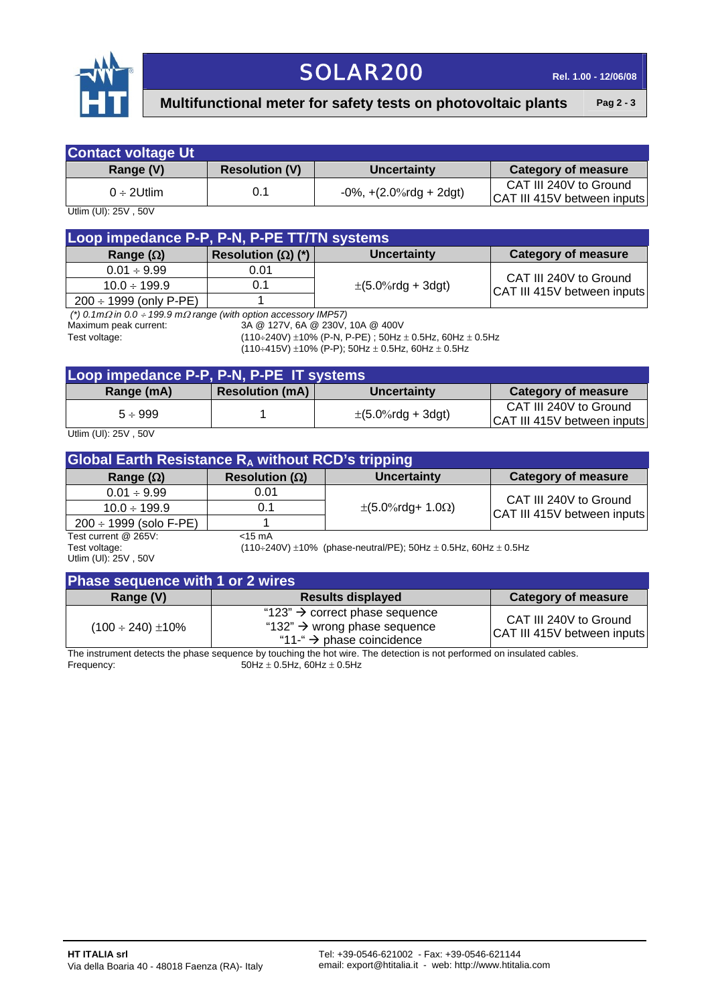

## SOLAR200 **Rel. 1.00 - 12/06/08**

#### **Multifunctional meter for safety tests on photovoltaic plants** Pag 2-3

| <b>Contact voltage Ut</b> |                       |                                |                                                       |
|---------------------------|-----------------------|--------------------------------|-------------------------------------------------------|
| Range (V)                 | <b>Resolution (V)</b> | Uncertainty                    | <b>Category of measure</b>                            |
| $0 \div 2$ Utlim          | 0.1                   | $-0\%$ , $+(2.0\%$ rdg + 2dgt) | CAT III 240V to Ground<br>CAT III 415V between inputs |

Utlim (Ul): 25V , 50V

| Loop impedance P-P, P-N, P-PE TT/TN systems |                           |                          |                             |
|---------------------------------------------|---------------------------|--------------------------|-----------------------------|
| Range $(\Omega)$                            | Resolution $(\Omega)$ (*) | <b>Uncertainty</b>       | <b>Category of measure</b>  |
| $0.01 \div 9.99$                            | 0.01                      |                          | CAT III 240V to Ground      |
| $10.0 \div 199.9$                           |                           | $\pm (5.0\%$ rdg + 3dgt) | CAT III 415V between inputs |
| $200 \div 1999$ (only P-PE)                 |                           |                          |                             |

 *(\*) 0.1m*Ω *in 0.0* ÷ *199.9 m*Ω *range (with option accessory IMP57)* 

3A @ 127V, 6A @ 230V, 10A @ 400V

Test voltage: (110÷240V) ±10% (P-N, P-PE) ; 50Hz ± 0.5Hz, 60Hz ± 0.5Hz

 $(110\div 415V) \pm 10\%$  (P-P); 50Hz  $\pm$  0.5Hz, 60Hz  $\pm$  0.5Hz

| Loop impedance P-P, P-N, P-PE IT systems                    |                        |                        |                                                       |
|-------------------------------------------------------------|------------------------|------------------------|-------------------------------------------------------|
| Range (mA)                                                  | <b>Resolution (mA)</b> | Uncertainty            | Category of measure                                   |
| $5 \div 999$                                                |                        | $\pm$ (5.0%rdg + 3dgt) | CAT III 240V to Ground<br>CAT III 415V between inputs |
| $1 \text{ klim}$ $1 \text{ l}$ , $2 \text{ l}$ , $\text{L}$ |                        |                        |                                                       |

Utlim (Ul): 25V , 50V

| <b>Global Earth Resistance R<sub>A</sub></b> without RCD's tripping |                         |                                                                                  |                             |
|---------------------------------------------------------------------|-------------------------|----------------------------------------------------------------------------------|-----------------------------|
| Range $(\Omega)$                                                    | Resolution ( $\Omega$ ) | <b>Uncertainty</b>                                                               | <b>Category of measure</b>  |
| $0.01 \div 9.99$                                                    | 0.01                    |                                                                                  | CAT III 240V to Ground      |
| $10.0 \div 199.9$                                                   | 0.1                     | $\pm (5.0\% \text{rdg} + 1.0 \Omega)$                                            | CAT III 415V between inputs |
| $200 \div 1999$ (solo F-PE)                                         |                         |                                                                                  |                             |
| Test current @ 265V:                                                | $<$ 15 mA               |                                                                                  |                             |
| Test voltage:                                                       |                         | $(110\div 240V) \pm 10\%$ (phase-neutral/PE); 50Hz $\pm$ 0.5Hz, 60Hz $\pm$ 0.5Hz |                             |

Utlim (Ul): 25V , 50V

| Phase sequence with 1 or 2 wires |  |
|----------------------------------|--|

| $\mu$ rase sequence with r or $\epsilon$ whes |                                                                                                                                 |                                                       |  |
|-----------------------------------------------|---------------------------------------------------------------------------------------------------------------------------------|-------------------------------------------------------|--|
| Range (V)                                     | <b>Results displayed</b>                                                                                                        | <b>Category of measure</b>                            |  |
| $(100 \div 240) \pm 10\%$                     | "123" $\rightarrow$ correct phase sequence<br>"132" $\rightarrow$ wrong phase sequence<br>"11-" $\rightarrow$ phase coincidence | CAT III 240V to Ground<br>CAT III 415V between inputs |  |

The instrument detects the phase sequence by touching the hot wire. The detection is not performed on insulated cables. Frequency:  $50Hz \pm 0.5Hz$ , 60Hz  $\pm 0.5Hz$